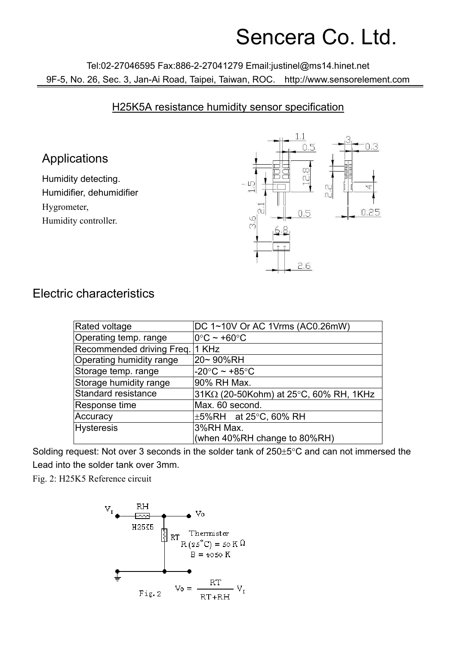## Sencera Co. Ltd.

Tel:02-27046595 Fax:886-2-27041279 Email:justinel@ms14.hinet.net 9F-5, No. 26, Sec. 3, Jan-Ai Road, Taipei, Taiwan, ROC. http://www.sensorelement.com

## H25K5A resistance humidity sensor specification

## Applications

Humidity detecting. Humidifier, dehumidifier Hygrometer, Humidity controller.



## Electric characteristics

| Rated voltage                   | DC 1~10V Or AC 1Vrms (AC0.26mW)               |
|---------------------------------|-----------------------------------------------|
| Operating temp. range           | $\overline{10^{\circ}C}$ ~ +60 $^{\circ}C$    |
| Recommended driving Freq. 1 KHz |                                               |
| Operating humidity range        | 20~90%RH                                      |
| Storage temp. range             | $-20^{\circ}$ C ~ +85 $^{\circ}$ C            |
| Storage humidity range          | 90% RH Max.                                   |
| Standard resistance             | $31K\Omega$ (20-50Kohm) at 25°C, 60% RH, 1KHz |
| Response time                   | Max. 60 second.                               |
| Accuracy                        | $\pm$ 5%RH at 25°C, 60% RH                    |
| <b>Hysteresis</b>               | 3%RH Max.                                     |
|                                 | (when $40\%RH$ change to $80\%RH$ )           |

Solding request: Not over 3 seconds in the solder tank of 250±5°C and can not immersed the Lead into the solder tank over 3mm.

Fig. 2: H25K5 Reference circuit